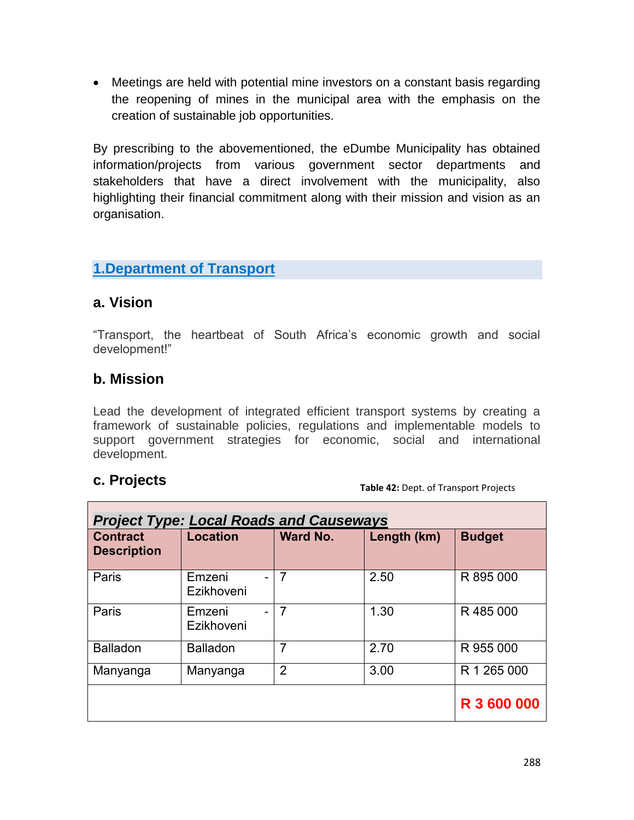Meetings are held with potential mine investors on a constant basis regarding the reopening of mines in the municipal area with the emphasis on the creation of sustainable job opportunities.

By prescribing to the abovementioned, the eDumbe Municipality has obtained information/projects from various government sector departments and stakeholders that have a direct involvement with the municipality, also highlighting their financial commitment along with their mission and vision as an organisation.

#### **1.Department of Transport**

#### **a. Vision**

"Transport, the heartbeat of South Africa's economic growth and social development!"

#### **b. Mission**

Lead the development of integrated efficient transport systems by creating a framework of sustainable policies, regulations and implementable models to support government strategies for economic, social and international development.

#### **c. Projects**

**Table 42:** Dept. of Transport Projects

| <b>Project Type: Local Roads and Causeways</b> |                      |                 |             |               |  |  |  |
|------------------------------------------------|----------------------|-----------------|-------------|---------------|--|--|--|
| <b>Contract</b><br><b>Description</b>          | <b>Location</b>      | <b>Ward No.</b> | Length (km) | <b>Budget</b> |  |  |  |
| Paris                                          | Emzeni<br>Ezikhoveni | $\overline{7}$  | 2.50        | R 895 000     |  |  |  |
| Paris                                          | Emzeni<br>Ezikhoveni | $\overline{7}$  | 1.30        | R485000       |  |  |  |
| <b>Balladon</b>                                | <b>Balladon</b>      | 7               | 2.70        | R 955 000     |  |  |  |
| Manyanga                                       | Manyanga             | $\overline{2}$  | 3.00        | R 1 265 000   |  |  |  |
|                                                |                      |                 |             | R 3 600 000   |  |  |  |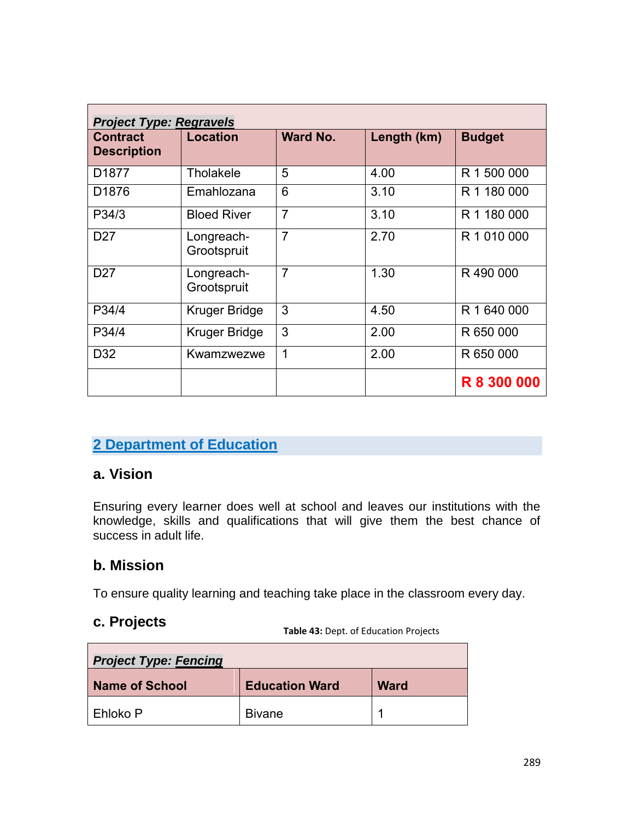| <b>Project Type: Regravels</b>        |                           |                 |             |                    |  |  |  |
|---------------------------------------|---------------------------|-----------------|-------------|--------------------|--|--|--|
| <b>Contract</b><br><b>Description</b> | <b>Location</b>           | <b>Ward No.</b> | Length (km) | <b>Budget</b>      |  |  |  |
| D <sub>1877</sub>                     | Tholakele                 | 5               | 4.00        | R 1 500 000        |  |  |  |
| D <sub>1876</sub>                     | Emahlozana                | 6               | 3.10        | R 1 180 000        |  |  |  |
| P34/3                                 | <b>Bloed River</b>        | $\overline{7}$  | 3.10        | R 1 180 000        |  |  |  |
| D <sub>27</sub>                       | Longreach-<br>Grootspruit | $\overline{7}$  | 2.70        | R 1 010 000        |  |  |  |
| D <sub>27</sub>                       | Longreach-<br>Grootspruit | $\overline{7}$  | 1.30        | R490000            |  |  |  |
| P34/4                                 | Kruger Bridge             | 3               | 4.50        | R 1 640 000        |  |  |  |
| P34/4                                 | Kruger Bridge             | 3               | 2.00        | R 650 000          |  |  |  |
| D <sub>32</sub>                       | Kwamzwezwe                | 1               | 2.00        | R 650 000          |  |  |  |
|                                       |                           |                 |             | <b>R 8 300 000</b> |  |  |  |

#### **2 Department of Education**

#### **a. Vision**

Ensuring every learner does well at school and leaves our institutions with the knowledge, skills and qualifications that will give them the best chance of success in adult life.

#### **b. Mission**

To ensure quality learning and teaching take place in the classroom every day.

#### **c. Projects**

**Table 43:** Dept. of Education Projects

| <b>Project Type: Fencing</b> |                       |             |  |  |  |  |
|------------------------------|-----------------------|-------------|--|--|--|--|
| <b>Name of School</b>        | <b>Education Ward</b> | <b>Ward</b> |  |  |  |  |
| Ehloko P                     | <b>Bivane</b>         |             |  |  |  |  |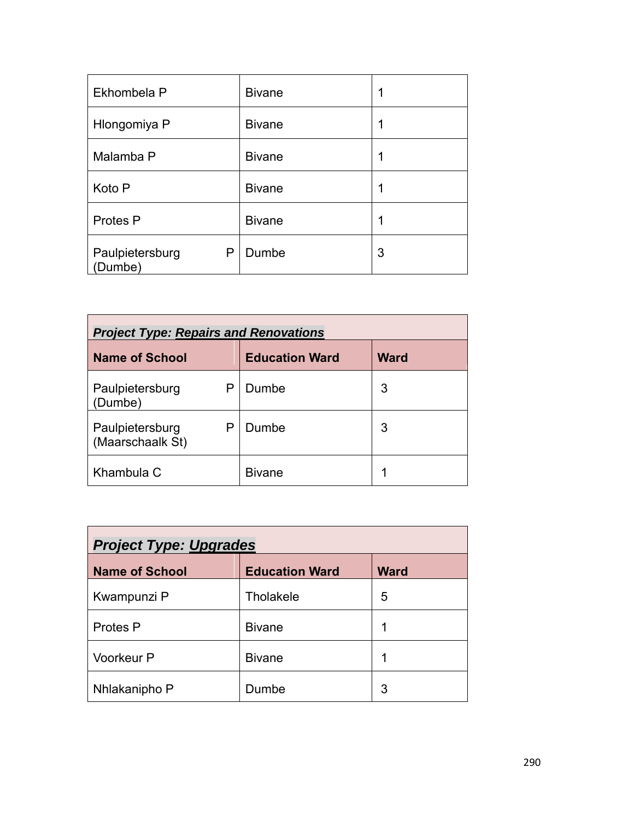| Ekhombela P                    | <b>Bivane</b> | 1 |
|--------------------------------|---------------|---|
| Hlongomiya P                   | <b>Bivane</b> | 1 |
| Malamba P                      | <b>Bivane</b> | 1 |
| Koto P                         | <b>Bivane</b> | 1 |
| Protes P                       | <b>Bivane</b> | 1 |
| Paulpietersburg<br>P<br>Dumbe) | Dumbe         | 3 |

| <b>Project Type: Repairs and Renovations</b>                  |               |   |  |  |  |  |  |
|---------------------------------------------------------------|---------------|---|--|--|--|--|--|
| <b>Name of School</b><br><b>Education Ward</b><br><b>Ward</b> |               |   |  |  |  |  |  |
| Paulpietersburg<br>Р<br>(Dumbe)                               | Dumbe         | 3 |  |  |  |  |  |
| Paulpietersburg<br>Р<br>(Maarschaalk St)                      | Dumbe         | 3 |  |  |  |  |  |
| Khambula C                                                    | <b>Bivane</b> | 1 |  |  |  |  |  |

| <b>Project Type: Upgrades</b> |                       |             |  |  |  |  |
|-------------------------------|-----------------------|-------------|--|--|--|--|
| <b>Name of School</b>         | <b>Education Ward</b> | <b>Ward</b> |  |  |  |  |
| Kwampunzi P                   | <b>Tholakele</b>      | 5           |  |  |  |  |
| Protes P                      | <b>Bivane</b>         | 1           |  |  |  |  |
| <b>Voorkeur P</b>             | <b>Bivane</b>         | 1           |  |  |  |  |
| Nhlakanipho P                 | Dumbe                 | 3           |  |  |  |  |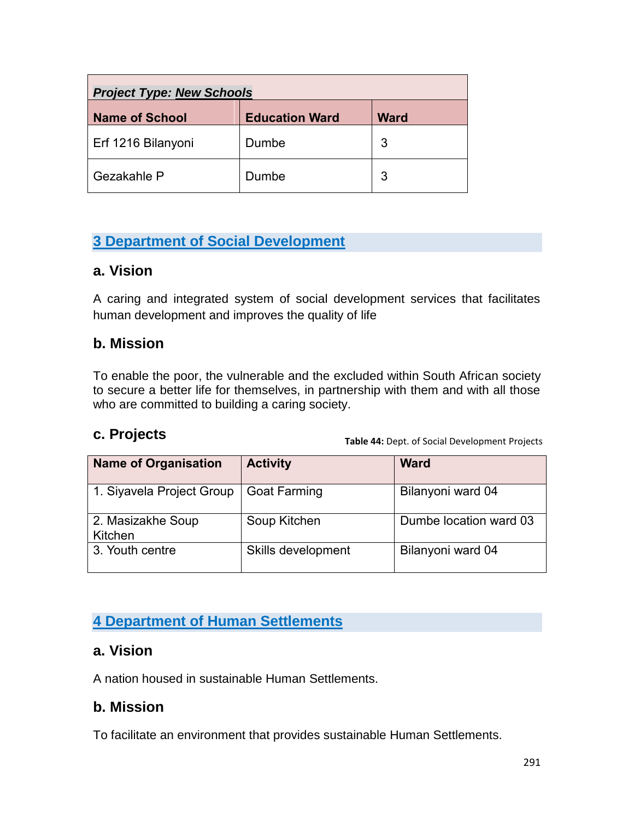| <b>Project Type: New Schools</b>                              |       |   |  |  |  |  |
|---------------------------------------------------------------|-------|---|--|--|--|--|
| <b>Name of School</b><br><b>Ward</b><br><b>Education Ward</b> |       |   |  |  |  |  |
| Erf 1216 Bilanyoni                                            | Dumbe | 3 |  |  |  |  |
| Gezakahle P                                                   | Dumbe | 3 |  |  |  |  |

# **3 Department of Social Development**

#### **a. Vision**

A caring and integrated system of social development services that facilitates human development and improves the quality of life

#### **b. Mission**

To enable the poor, the vulnerable and the excluded within South African society to secure a better life for themselves, in partnership with them and with all those who are committed to building a caring society.

#### **c. Projects**

**Table 44:** Dept. of Social Development Projects

| <b>Name of Organisation</b>  | <b>Activity</b>     | <b>Ward</b>            |
|------------------------------|---------------------|------------------------|
| 1. Siyavela Project Group    | <b>Goat Farming</b> | Bilanyoni ward 04      |
| 2. Masizakhe Soup<br>Kitchen | Soup Kitchen        | Dumbe location ward 03 |
| 3. Youth centre              | Skills development  | Bilanyoni ward 04      |

## **4 Department of Human Settlements**

#### **a. Vision**

A nation housed in sustainable Human Settlements.

#### **b. Mission**

To facilitate an environment that provides sustainable Human Settlements.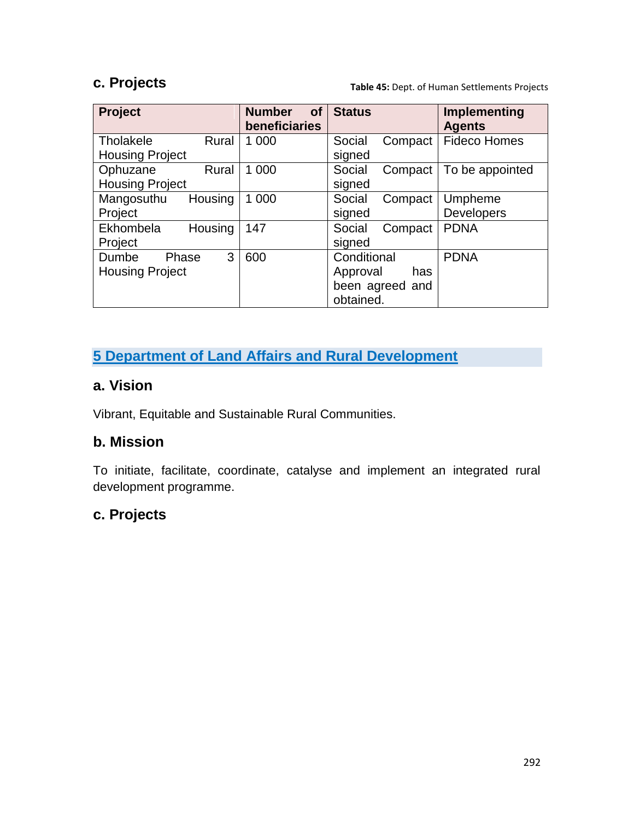#### **c. Projects**

**Table 45:** Dept. of Human Settlements Projects

| <b>Project</b>                                | <b>Number</b><br><b>of</b><br>beneficiaries | <b>Status</b>                                                  | Implementing<br><b>Agents</b> |
|-----------------------------------------------|---------------------------------------------|----------------------------------------------------------------|-------------------------------|
| Tholakele<br>Rural<br><b>Housing Project</b>  | 1 000                                       | Compact<br>Social<br>signed                                    | <b>Fideco Homes</b>           |
| Ophuzane<br>Rural<br><b>Housing Project</b>   | 1 0 0 0                                     | Social<br>Compact<br>signed                                    | To be appointed               |
| Mangosuthu<br>Housing<br>Project              | 1 000                                       | Social<br>Compact<br>signed                                    | Umpheme<br>Developers         |
| Ekhombela<br>Housing<br>Project               | 147                                         | Social<br>Compact<br>signed                                    | <b>PDNA</b>                   |
| 3<br>Dumbe<br>Phase<br><b>Housing Project</b> | 600                                         | Conditional<br>Approval<br>has<br>been agreed and<br>obtained. | <b>PDNA</b>                   |

# **5 Department of Land Affairs and Rural Development**

### **a. Vision**

Vibrant, Equitable and Sustainable Rural Communities.

#### **b. Mission**

To initiate, facilitate, coordinate, catalyse and implement an integrated rural development programme.

# **c. Projects**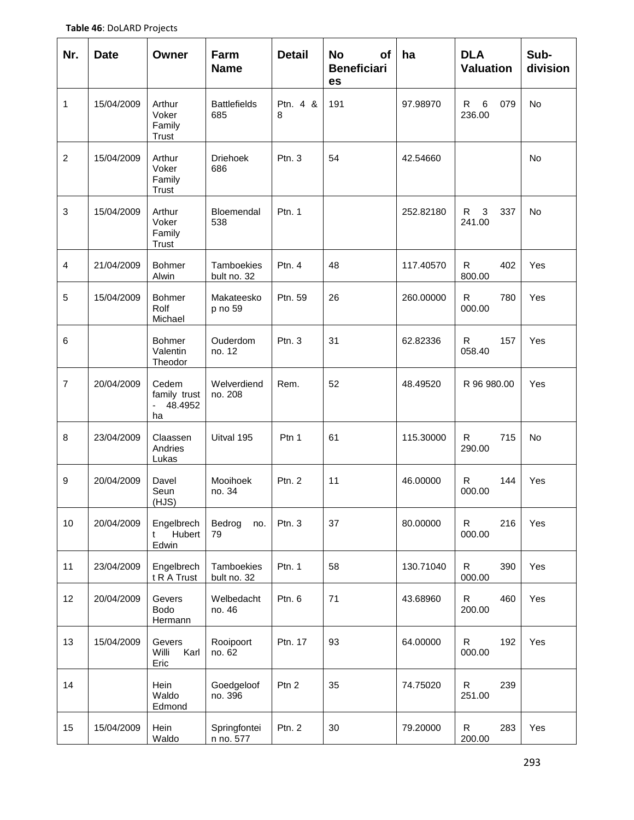| Nr.            | <b>Date</b> | Owner                                            | Farm<br><b>Name</b>        | <b>Detail</b> | <b>No</b><br>of<br><b>Beneficiari</b><br>es | ha        | <b>DLA</b><br><b>Valuation</b> | Sub-<br>division |
|----------------|-------------|--------------------------------------------------|----------------------------|---------------|---------------------------------------------|-----------|--------------------------------|------------------|
| 1              | 15/04/2009  | Arthur<br>Voker<br>Family<br>Trust               | <b>Battlefields</b><br>685 | Ptn. 4 &<br>8 | 191                                         | 97.98970  | $\,6\,$<br>R<br>079<br>236.00  | No               |
| $\overline{c}$ | 15/04/2009  | Arthur<br>Voker<br>Family<br>Trust               | <b>Driehoek</b><br>686     | Ptn.3         | 54                                          | 42.54660  |                                | <b>No</b>        |
| 3              | 15/04/2009  | Arthur<br>Voker<br>Family<br>Trust               | Bloemendal<br>538          | Ptn. 1        |                                             | 252.82180 | 3<br>R<br>337<br>241.00        | <b>No</b>        |
| 4              | 21/04/2009  | <b>Bohmer</b><br>Alwin                           | Tamboekies<br>bult no. 32  | Ptn. 4        | 48                                          | 117.40570 | R<br>402<br>800.00             | Yes              |
| 5              | 15/04/2009  | Bohmer<br>Rolf<br>Michael                        | Makateesko<br>p no 59      | Ptn. 59       | 26                                          | 260.00000 | $\mathsf{R}$<br>780<br>000.00  | Yes              |
| 6              |             | <b>Bohmer</b><br>Valentin<br>Theodor             | Ouderdom<br>no. 12         | Ptn.3         | 31                                          | 62.82336  | $\mathsf{R}$<br>157<br>058.40  | Yes              |
| $\overline{7}$ | 20/04/2009  | Cedem<br>family trust<br>48.4952<br>$\sim$<br>ha | Welverdiend<br>no. 208     | Rem.          | 52                                          | 48.49520  | R 96 980.00                    | Yes              |
| 8              | 23/04/2009  | Claassen<br>Andries<br>Lukas                     | Uitval 195                 | Ptn 1         | 61                                          | 115.30000 | R<br>715<br>290.00             | <b>No</b>        |
| 9              | 20/04/2009  | Davel<br>Seun<br>(HJS)                           | Mooihoek<br>no. 34         | Ptn. 2        | 11                                          | 46.00000  | R<br>144<br>000.00             | Yes              |
| $10$           | 20/04/2009  | Engelbrech<br>Hubert<br>t<br>Edwin               | Bedrog<br>no.<br>79        | Ptn. 3        | 37                                          | 80.00000  | $\mathsf R$<br>216<br>000.00   | Yes              |
| 11             | 23/04/2009  | Engelbrech<br>t R A Trust                        | Tamboekies<br>bult no. 32  | Ptn. 1        | 58                                          | 130.71040 | $\mathsf{R}$<br>390<br>000.00  | Yes              |
| 12             | 20/04/2009  | Gevers<br>Bodo<br>Hermann                        | Welbedacht<br>no. 46       | Ptn. 6        | 71                                          | 43.68960  | 460<br>$\mathsf{R}$<br>200.00  | Yes              |
| 13             | 15/04/2009  | Gevers<br>Karl<br>Willi<br>Eric                  | Rooipoort<br>no. 62        | Ptn. 17       | 93                                          | 64.00000  | R<br>192<br>000.00             | Yes              |
| 14             |             | Hein<br>Waldo<br>Edmond                          | Goedgeloof<br>no. 396      | Ptn 2         | 35                                          | 74.75020  | R<br>239<br>251.00             |                  |
| 15             | 15/04/2009  | Hein<br>Waldo                                    | Springfontei<br>n no. 577  | Ptn. 2        | 30                                          | 79.20000  | $\mathsf{R}$<br>283<br>200.00  | Yes              |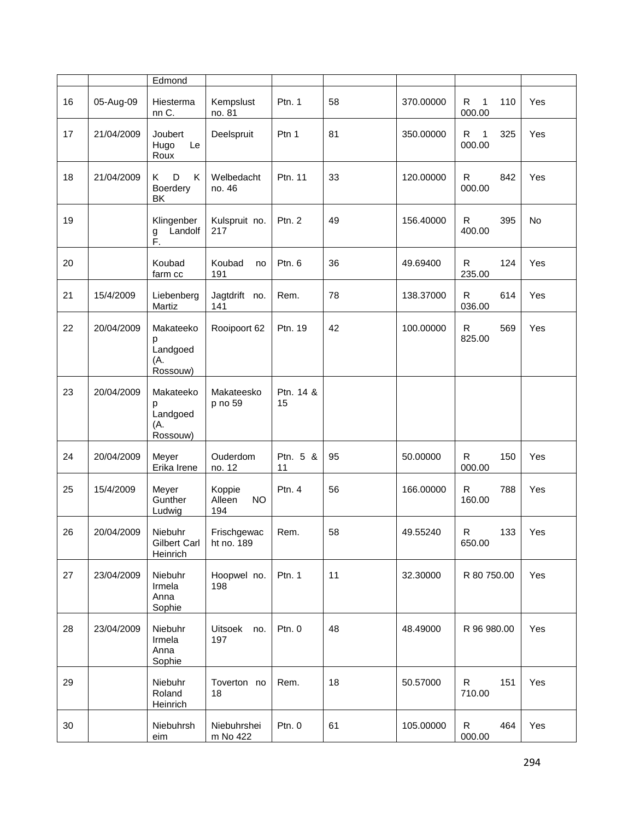|    |            | Edmond                                        |                                      |                 |    |           |                                     |     |
|----|------------|-----------------------------------------------|--------------------------------------|-----------------|----|-----------|-------------------------------------|-----|
| 16 | 05-Aug-09  | Hiesterma<br>nn C.                            | Kempslust<br>no. 81                  | Ptn. 1          | 58 | 370.00000 | R<br>1<br>110<br>000.00             | Yes |
| 17 | 21/04/2009 | Joubert<br>Le<br>Hugo<br>Roux                 | Deelspruit                           | Ptn 1           | 81 | 350.00000 | R.<br>$\mathbf{1}$<br>325<br>000.00 | Yes |
| 18 | 21/04/2009 | D<br>K<br>Κ<br>Boerdery<br>BK                 | Welbedacht<br>no. 46                 | Ptn. 11         | 33 | 120.00000 | $\mathsf{R}$<br>842<br>000.00       | Yes |
| 19 |            | Klingenber<br>Landolf<br>g<br>F.              | Kulspruit no.<br>217                 | Ptn. 2          | 49 | 156.40000 | $\mathsf{R}$<br>395<br>400.00       | No  |
| 20 |            | Koubad<br>farm cc                             | Koubad<br>no<br>191                  | Ptn. 6          | 36 | 49.69400  | $\mathsf{R}$<br>124<br>235.00       | Yes |
| 21 | 15/4/2009  | Liebenberg<br>Martiz                          | Jagtdrift no.<br>141                 | Rem.            | 78 | 138.37000 | $\mathsf{R}$<br>614<br>036.00       | Yes |
| 22 | 20/04/2009 | Makateeko<br>р<br>Landgoed<br>(A.<br>Rossouw) | Rooipoort 62                         | Ptn. 19         | 42 | 100.00000 | R<br>569<br>825.00                  | Yes |
| 23 | 20/04/2009 | Makateeko<br>р<br>Landgoed<br>(A.<br>Rossouw) | Makateesko<br>p no 59                | Ptn. 14 &<br>15 |    |           |                                     |     |
| 24 | 20/04/2009 | Meyer<br>Erika Irene                          | Ouderdom<br>no. 12                   | Ptn. 5 &<br>11  | 95 | 50.00000  | $\mathsf{R}$<br>150<br>000.00       | Yes |
| 25 | 15/4/2009  | Meyer<br>Gunther<br>Ludwig                    | Koppie<br><b>NO</b><br>Alleen<br>194 | Ptn. $4$        | 56 | 166.00000 | R<br>788<br>160.00                  | Yes |
| 26 | 20/04/2009 | Niebuhr<br>Gilbert Carl<br>Heinrich           | Frischgewac<br>ht no. 189            | Rem.            | 58 | 49.55240  | R<br>133<br>650.00                  | Yes |
| 27 | 23/04/2009 | Niebuhr<br>Irmela<br>Anna<br>Sophie           | Hoopwel no.<br>198                   | Ptn. 1          | 11 | 32.30000  | R 80 750.00                         | Yes |
| 28 | 23/04/2009 | Niebuhr<br>Irmela<br>Anna<br>Sophie           | <b>Uitsoek</b><br>no.<br>197         | Ptn. 0          | 48 | 48.49000  | R 96 980.00                         | Yes |
| 29 |            | Niebuhr<br>Roland<br>Heinrich                 | Toverton no<br>18                    | Rem.            | 18 | 50.57000  | R<br>151<br>710.00                  | Yes |
| 30 |            | Niebuhrsh<br>eim                              | Niebuhrshei<br>m No 422              | Ptn. 0          | 61 | 105.00000 | $\mathsf{R}$<br>464<br>000.00       | Yes |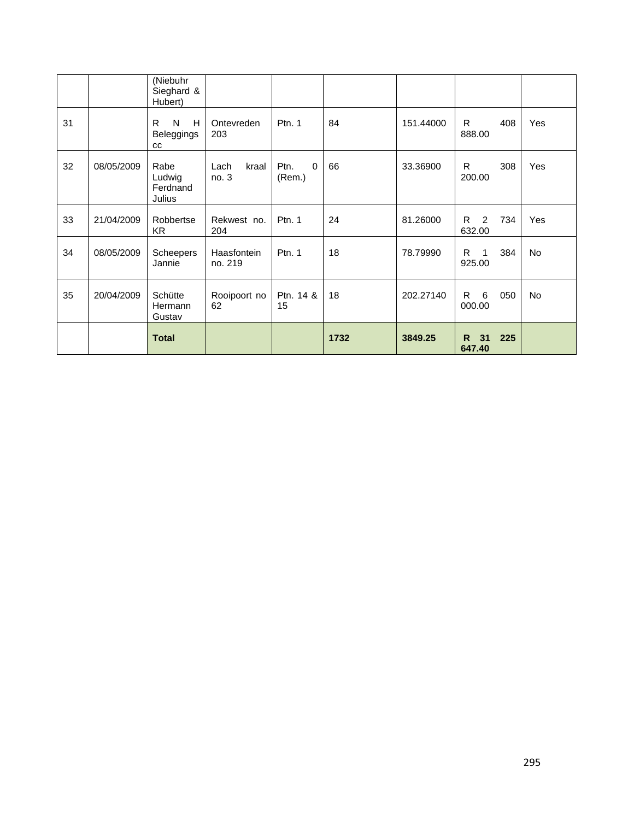|    |            | <b>Total</b>                           |                        |                                            | 1732 | 3849.25   | 31<br>225<br>R.<br>647.40           |            |
|----|------------|----------------------------------------|------------------------|--------------------------------------------|------|-----------|-------------------------------------|------------|
| 35 | 20/04/2009 | Schütte<br>Hermann<br>Gustav           | Rooipoort no<br>62     | Ptn. 14 &<br>15                            | 18   | 202.27140 | 6<br>050<br>R.<br>000.00            | No         |
| 34 | 08/05/2009 | Scheepers<br>Jannie                    | Haasfontein<br>no. 219 | Ptn. $1$                                   | 18   | 78.79990  | R.<br>384<br>$\mathbf{1}$<br>925.00 | <b>No</b>  |
| 33 | 21/04/2009 | Robbertse<br>KR.                       | Rekwest no.<br>204     | Ptn. 1                                     | 24   | 81.26000  | R.<br>2<br>734<br>632.00            | Yes        |
| 32 | 08/05/2009 | Rabe<br>Ludwig<br>Ferdnand<br>Julius   | Lach<br>kraal<br>no.3  | $\mathbf 0$<br>P <sub>tn</sub> .<br>(Rem.) | 66   | 33.36900  | R.<br>308<br>200.00                 | <b>Yes</b> |
| 31 |            | R<br>N<br>H<br>Beleggings<br><b>CC</b> | Ontevreden<br>203      | Ptn. 1                                     | 84   | 151.44000 | R.<br>408<br>888.00                 | Yes        |
|    |            | (Niebuhr<br>Sieghard &<br>Hubert)      |                        |                                            |      |           |                                     |            |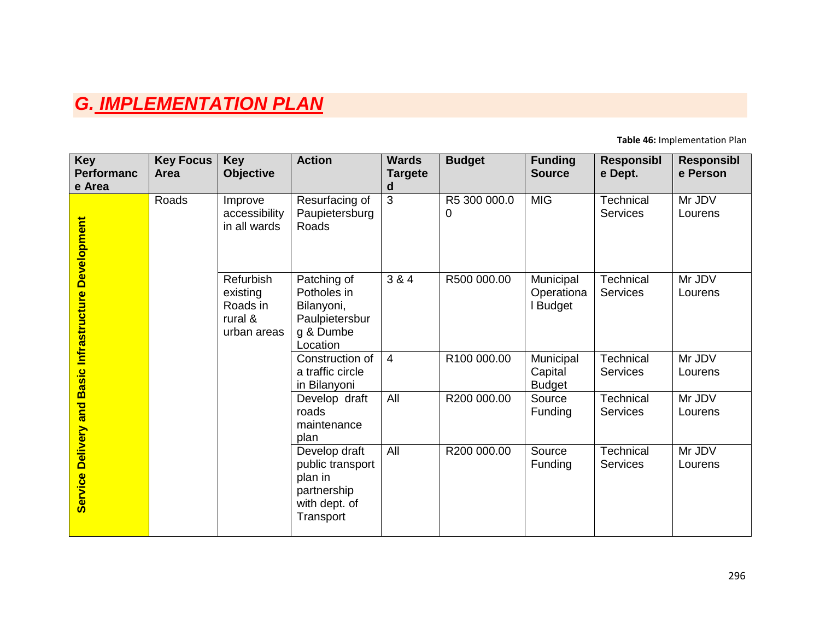# *G. IMPLEMENTATION PLAN*

**Table 46:** Implementation Plan

| <b>Key</b><br><b>Performanc</b><br>e Area | <b>Key Focus</b><br><b>Area</b> | <b>Key</b><br><b>Objective</b>                              | <b>Action</b>                                                                             | <b>Wards</b><br><b>Targete</b><br>d | <b>Budget</b>     | <b>Funding</b><br><b>Source</b>       | <b>Responsibl</b><br>e Dept. | <b>Responsibl</b><br>e Person |
|-------------------------------------------|---------------------------------|-------------------------------------------------------------|-------------------------------------------------------------------------------------------|-------------------------------------|-------------------|---------------------------------------|------------------------------|-------------------------------|
| <b>Development</b>                        | Roads                           | Improve<br>accessibility<br>in all wards                    | Resurfacing of<br>Paupietersburg<br>Roads                                                 | 3                                   | R5 300 000.0<br>0 | <b>MIG</b>                            | Technical<br><b>Services</b> | Mr JDV<br>Lourens             |
| Basic Infrastructure                      |                                 | Refurbish<br>existing<br>Roads in<br>rural &<br>urban areas | Patching of<br>Potholes in<br>Bilanyoni,<br>Paulpietersbur<br>g & Dumbe<br>Location       | 3 & 4                               | R500 000.00       | Municipal<br>Operationa<br>Budget     | Technical<br><b>Services</b> | Mr JDV<br>Lourens             |
|                                           |                                 |                                                             | Construction of<br>a traffic circle<br>in Bilanyoni                                       | $\overline{4}$                      | R100 000.00       | Municipal<br>Capital<br><b>Budget</b> | Technical<br>Services        | Mr JDV<br>Lourens             |
| and                                       |                                 |                                                             | Develop draft<br>roads<br>maintenance<br>plan                                             | All                                 | R200 000.00       | Source<br><b>Funding</b>              | Technical<br><b>Services</b> | Mr JDV<br>Lourens             |
| Delivery<br>Service                       |                                 |                                                             | Develop draft<br>public transport<br>plan in<br>partnership<br>with dept. of<br>Transport | All                                 | R200 000.00       | Source<br><b>Funding</b>              | Technical<br><b>Services</b> | Mr JDV<br>Lourens             |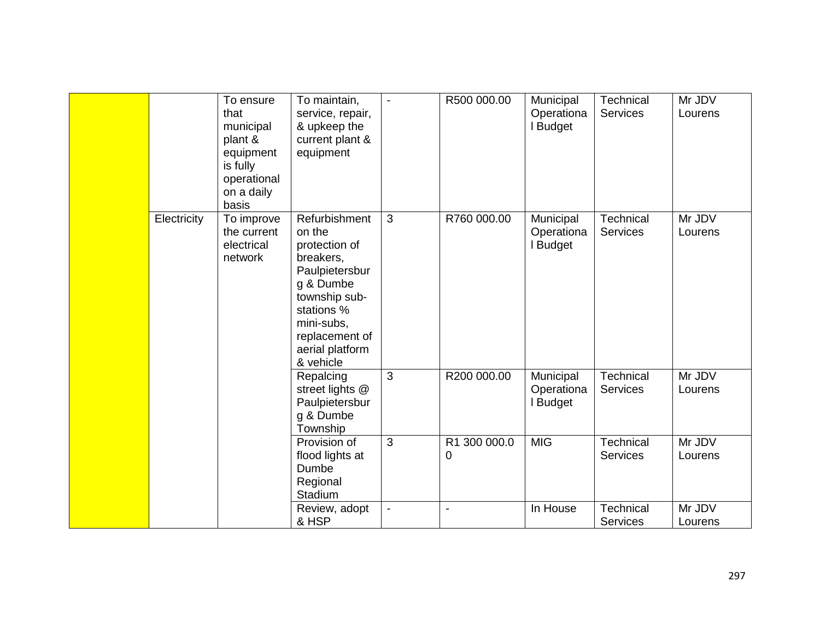|             | To ensure<br>that<br>municipal<br>plant &<br>equipment<br>is fully<br>operational<br>on a daily<br>basis | To maintain,<br>service, repair,<br>& upkeep the<br>current plant &<br>equipment                                                                                                    | $\blacksquare$ | R500 000.00                      | Municipal<br>Operationa<br><b>Budget</b> | Technical<br><b>Services</b> | Mr JDV<br>Lourens |
|-------------|----------------------------------------------------------------------------------------------------------|-------------------------------------------------------------------------------------------------------------------------------------------------------------------------------------|----------------|----------------------------------|------------------------------------------|------------------------------|-------------------|
| Electricity | To improve<br>the current<br>electrical<br>network                                                       | Refurbishment<br>on the<br>protection of<br>breakers,<br>Paulpietersbur<br>g & Dumbe<br>township sub-<br>stations %<br>mini-subs,<br>replacement of<br>aerial platform<br>& vehicle | 3              | R760 000.00                      | Municipal<br>Operationa<br><b>Budget</b> | Technical<br><b>Services</b> | Mr JDV<br>Lourens |
|             |                                                                                                          | Repalcing<br>street lights @<br>Paulpietersbur<br>g & Dumbe<br>Township                                                                                                             | 3              | R200 000.00                      | Municipal<br>Operationa<br><b>Budget</b> | Technical<br><b>Services</b> | Mr JDV<br>Lourens |
|             |                                                                                                          | Provision of<br>flood lights at<br>Dumbe<br>Regional<br>Stadium                                                                                                                     | 3              | 300 000.0<br>R <sub>1</sub><br>0 | <b>MIG</b>                               | Technical<br><b>Services</b> | Mr JDV<br>Lourens |
|             |                                                                                                          | Review, adopt<br>& HSP                                                                                                                                                              |                | L,                               | In House                                 | Technical<br><b>Services</b> | Mr JDV<br>Lourens |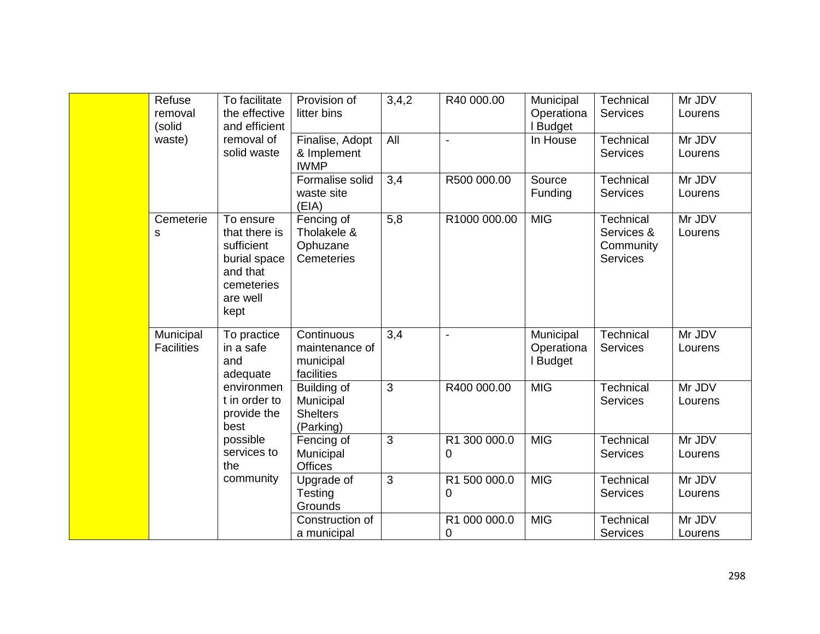|  | Refuse<br>removal<br>(solid                          | To facilitate<br>the effective<br>and efficient                                                        | Provision of<br>litter bins                              | 3,4,2 | R40 000.00        | Municipal<br>Operationa<br>I Budget | <b>Technical</b><br><b>Services</b>                            | Mr JDV<br>Lourens |
|--|------------------------------------------------------|--------------------------------------------------------------------------------------------------------|----------------------------------------------------------|-------|-------------------|-------------------------------------|----------------------------------------------------------------|-------------------|
|  | waste)                                               | removal of<br>solid waste                                                                              | Finalise, Adopt<br>& Implement<br><b>IWMP</b>            | All   |                   | In House                            | <b>Technical</b><br><b>Services</b>                            | Mr JDV<br>Lourens |
|  |                                                      |                                                                                                        | Formalise solid<br>waste site<br>(EIA)                   | 3,4   | R500 000.00       | Source<br>Funding                   | Technical<br><b>Services</b>                                   | Mr JDV<br>Lourens |
|  | Cemeterie<br>S                                       | To ensure<br>that there is<br>sufficient<br>burial space<br>and that<br>cemeteries<br>are well<br>kept | Fencing of<br>Tholakele &<br>Ophuzane<br>Cemeteries      | 5,8   | R1000 000.00      | <b>MIG</b>                          | <b>Technical</b><br>Services &<br>Community<br><b>Services</b> | Mr JDV<br>Lourens |
|  | Municipal<br><b>Facilities</b><br>and<br>best<br>the | To practice<br>in a safe<br>adequate                                                                   | Continuous<br>maintenance of<br>municipal<br>facilities  | 3,4   | $\blacksquare$    | Municipal<br>Operationa<br>I Budget | <b>Technical</b><br><b>Services</b>                            | Mr JDV<br>Lourens |
|  |                                                      | environmen<br>t in order to<br>provide the                                                             | Building of<br>Municipal<br><b>Shelters</b><br>(Parking) | 3     | R400 000.00       | <b>MIG</b>                          | <b>Technical</b><br><b>Services</b>                            | Mr JDV<br>Lourens |
|  |                                                      | possible<br>services to<br>community                                                                   | Fencing of<br>Municipal<br><b>Offices</b>                | 3     | R1 300 000.0<br>0 | <b>MIG</b>                          | <b>Technical</b><br><b>Services</b>                            | Mr JDV<br>Lourens |
|  |                                                      |                                                                                                        | Upgrade of<br>Testing<br>Grounds                         | 3     | R1 500 000.0<br>0 | <b>MIG</b>                          | <b>Technical</b><br><b>Services</b>                            | Mr JDV<br>Lourens |
|  |                                                      |                                                                                                        | Construction of<br>a municipal                           |       | R1 000 000.0<br>0 | <b>MIG</b>                          | <b>Technical</b><br><b>Services</b>                            | Mr JDV<br>Lourens |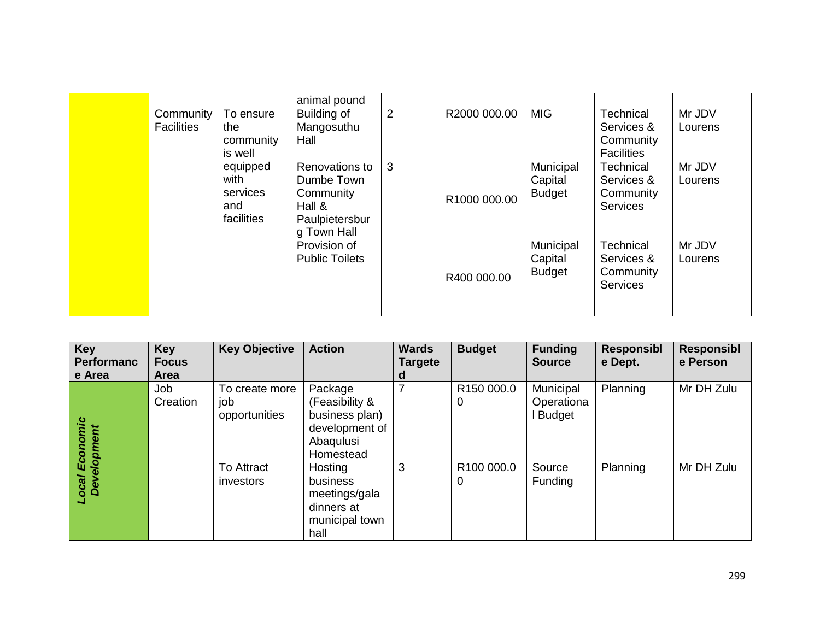|                   |            | animal pound          |   |              |               |                   |         |
|-------------------|------------|-----------------------|---|--------------|---------------|-------------------|---------|
| Community         | To ensure  | Building of           | 2 | R2000 000.00 | <b>MIG</b>    | Technical         | Mr JDV  |
| <b>Facilities</b> | the        | Mangosuthu            |   |              |               | Services &        | Lourens |
|                   | community  | Hall                  |   |              |               | Community         |         |
|                   | is well    |                       |   |              |               | <b>Facilities</b> |         |
|                   | equipped   | Renovations to        | 3 |              | Municipal     | Technical         | Mr JDV  |
|                   | with       | Dumbe Town            |   |              | Capital       | Services &        | Lourens |
|                   | services   | Community             |   | R1000 000.00 | <b>Budget</b> | Community         |         |
|                   | and        | Hall &                |   |              |               | <b>Services</b>   |         |
|                   | facilities | Paulpietersbur        |   |              |               |                   |         |
|                   |            | g Town Hall           |   |              |               |                   |         |
|                   |            | Provision of          |   |              | Municipal     | Technical         | Mr JDV  |
|                   |            | <b>Public Toilets</b> |   |              | Capital       | Services &        | Lourens |
|                   |            |                       |   | R400 000.00  | <b>Budget</b> | Community         |         |
|                   |            |                       |   |              |               | <b>Services</b>   |         |
|                   |            |                       |   |              |               |                   |         |
|                   |            |                       |   |              |               |                   |         |

| Key<br><b>Performanc</b><br>e Area             | <b>Key</b><br><b>Focus</b><br><b>Area</b> | <b>Key Objective</b>                   | <b>Action</b>                                                                           | <b>Wards</b><br>Targete<br>d | <b>Budget</b>               | <b>Funding</b><br><b>Source</b>     | Responsibl<br>e Dept. | <b>Responsibl</b><br>e Person |
|------------------------------------------------|-------------------------------------------|----------------------------------------|-----------------------------------------------------------------------------------------|------------------------------|-----------------------------|-------------------------------------|-----------------------|-------------------------------|
| Economic<br><b>Development</b><br><b>Local</b> | Job<br>Creation                           | To create more<br>job<br>opportunities | Package<br>(Feasibility &<br>business plan)<br>development of<br>Abaqulusi<br>Homestead |                              | R150 000.0<br>0             | Municipal<br>Operationa<br>I Budget | Planning              | Mr DH Zulu                    |
|                                                |                                           | To Attract<br>investors                | Hosting<br>business<br>meetings/gala<br>dinners at<br>municipal town<br>hall            | 3                            | R <sub>100</sub> 000.0<br>0 | Source<br>Funding                   | Planning              | Mr DH Zulu                    |